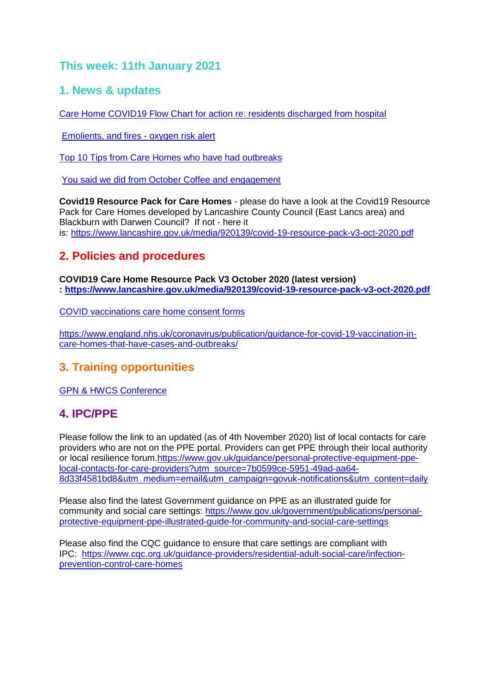# **This week: 11th January 2021**

### **1. News & updates**

[Care Home COVID19 Flow Chart for action re: residents discharged from hospital](images/Flowchart_on_the_application_of_COVID-19_guidance_on_testing_and_discharge_for_hospital_inpatients_being_discharged_to_care_homes_V2.0.pdf)

[Emolients, and fires -](index.php?option=com_docman&view=document&alias=2724-emollients-and-oxygen-advice-for-carer&category_slug=publications&Itemid=238) oxygen risk alert

[Top 10 Tips from Care Homes who have had outbreaks](images/Top_ten_tips.docx)

[You said we did from October Coffee and engagement](index.php?option=com_docman&view=document&alias=2726-you-said-we-did-engagement-evening-15th-oct-20&category_slug=publications&Itemid=238)

**Covid19 Resource Pack for Care Homes** - please do have a look at the Covid19 Resource Pack for Care Homes developed by Lancashire County Council (East Lancs area) and Blackburn with Darwen Council? If not - here it is: <https://www.lancashire.gov.uk/media/920139/covid-19-resource-pack-v3-oct-2020.pdf>

## **2. Policies and procedures**

**COVID19 Care Home Resource Pack V3 October 2020 (latest version) : <https://www.lancashire.gov.uk/media/920139/covid-19-resource-pack-v3-oct-2020.pdf>**

[COVID vaccinations care home consent forms](images/20201208_ICS_CH_CvdVacConsentForm_v1_FINAL.PDF)

[https://www.england.nhs.uk/coronavirus/publication/guidance-for-covid-19-vaccination-in](https://www.england.nhs.uk/coronavirus/publication/guidance-for-covid-19-vaccination-in-care-homes-that-have-cases-and-outbreaks/)[care-homes-that-have-cases-and-outbreaks/](https://www.england.nhs.uk/coronavirus/publication/guidance-for-covid-19-vaccination-in-care-homes-that-have-cases-and-outbreaks/)

# **3. Training opportunities**

[GPN & HWCS Conference](images/GPN_and_HCSW_Conference_2021.pdf)

## **4. IPC/PPE**

Please follow the link to an updated (as of 4th November 2020) list of local contacts for care providers who are not on the PPE portal. Providers can get PPE through their local authority or local resilience forum[.https://www.gov.uk/guidance/personal-protective-equipment-ppe](https://www.gov.uk/guidance/personal-protective-equipment-ppe-local-contacts-for-care-providers?utm_source=7b0599ce-5951-49ad-aa64-8d33f4581bd8&utm_medium=email&utm_campaign=govuk-notifications&utm_content=daily)[local-contacts-for-care-providers?utm\\_source=7b0599ce-5951-49ad-aa64-](https://www.gov.uk/guidance/personal-protective-equipment-ppe-local-contacts-for-care-providers?utm_source=7b0599ce-5951-49ad-aa64-8d33f4581bd8&utm_medium=email&utm_campaign=govuk-notifications&utm_content=daily) [8d33f4581bd8&utm\\_medium=email&utm\\_campaign=govuk-notifications&utm\\_content=daily](https://www.gov.uk/guidance/personal-protective-equipment-ppe-local-contacts-for-care-providers?utm_source=7b0599ce-5951-49ad-aa64-8d33f4581bd8&utm_medium=email&utm_campaign=govuk-notifications&utm_content=daily)

Please also find the latest Government guidance on PPE as an illustrated guide for community and social care settings: [https://www.gov.uk/government/publications/personal](https://www.gov.uk/government/publications/personal-protective-equipment-ppe-illustrated-guide-for-community-and-social-care-settings)[protective-equipment-ppe-illustrated-guide-for-community-and-social-care-settings](https://www.gov.uk/government/publications/personal-protective-equipment-ppe-illustrated-guide-for-community-and-social-care-settings)

Please also find the CQC guidance to ensure that care settings are compliant with IPC: [https://www.cqc.org.uk/guidance-providers/residential-adult-social-care/infection](https://www.cqc.org.uk/guidance-providers/residential-adult-social-care/infection-prevention-control-care-homes)[prevention-control-care-homes](https://www.cqc.org.uk/guidance-providers/residential-adult-social-care/infection-prevention-control-care-homes)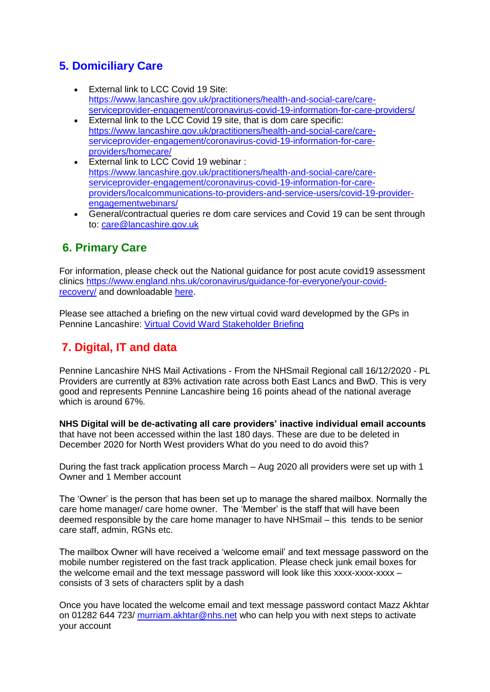# **5. Domiciliary Care**

- External link to LCC Covid 19 Site: [https://www.lancashire.gov.uk/practitioners/health-and-social-care/care](https://www.lancashire.gov.uk/practitioners/health-and-social-care/care-serviceprovider-engagement/coronavirus-covid-19-information-for-care-providers/)[serviceprovider-engagement/coronavirus-covid-19-information-for-care-providers/](https://www.lancashire.gov.uk/practitioners/health-and-social-care/care-serviceprovider-engagement/coronavirus-covid-19-information-for-care-providers/)
- External link to the LCC Covid 19 site, that is dom care specific: [https://www.lancashire.gov.uk/practitioners/health-and-social-care/care](https://www.lancashire.gov.uk/practitioners/health-and-social-care/care-serviceprovider-engagement/coronavirus-covid-19-information-for-care-providers/homecare/)[serviceprovider-engagement/coronavirus-covid-19-information-for-care](https://www.lancashire.gov.uk/practitioners/health-and-social-care/care-serviceprovider-engagement/coronavirus-covid-19-information-for-care-providers/homecare/)[providers/homecare/](https://www.lancashire.gov.uk/practitioners/health-and-social-care/care-serviceprovider-engagement/coronavirus-covid-19-information-for-care-providers/homecare/)
- **External link to LCC Covid 19 webinar:** [https://www.lancashire.gov.uk/practitioners/health-and-social-care/care](https://www.lancashire.gov.uk/practitioners/health-and-social-care/care-serviceprovider-engagement/coronavirus-covid-19-information-for-care-providers/localcommunications-to-providers-and-service-users/covid-19-provider-engagementwebinars/)[serviceprovider-engagement/coronavirus-covid-19-information-for-care](https://www.lancashire.gov.uk/practitioners/health-and-social-care/care-serviceprovider-engagement/coronavirus-covid-19-information-for-care-providers/localcommunications-to-providers-and-service-users/covid-19-provider-engagementwebinars/)[providers/localcommunications-to-providers-and-service-users/covid-19-provider](https://www.lancashire.gov.uk/practitioners/health-and-social-care/care-serviceprovider-engagement/coronavirus-covid-19-information-for-care-providers/localcommunications-to-providers-and-service-users/covid-19-provider-engagementwebinars/)[engagementwebinars/](https://www.lancashire.gov.uk/practitioners/health-and-social-care/care-serviceprovider-engagement/coronavirus-covid-19-information-for-care-providers/localcommunications-to-providers-and-service-users/covid-19-provider-engagementwebinars/)
- General/contractual queries re dom care services and Covid 19 can be sent through to: [care@lancashire.gov.uk](mailto:care@lancashire.gov.uk)

# **6. Primary Care**

For information, please check out the National guidance for post acute covid19 assessment clinics [https://www.england.nhs.uk/coronavirus/guidance-for-everyone/your-covid](https://www.england.nhs.uk/coronavirus/guidance-for-everyone/your-covid-recovery/)[recovery/](https://www.england.nhs.uk/coronavirus/guidance-for-everyone/your-covid-recovery/) and downloadable [here.](file:///E:/images/RegulatedCareSector/C0840_PostCOVID_assessment_clinic_guidance_6_November_2020.pdf)

Please see attached a briefing on the new virtual covid ward developmed by the GPs in Pennine Lancashire: [Virtual Covid Ward Stakeholder Briefing](file:///E:/images/RegulatedCareSector/Pennine_Lancashire_CVW_Stakeholder_Briefing_Final_Oct_20.docx)

# **7. Digital, IT and data**

Pennine Lancashire NHS Mail Activations - From the NHSmail Regional call 16/12/2020 - PL Providers are currently at 83% activation rate across both East Lancs and BwD. This is very good and represents Pennine Lancashire being 16 points ahead of the national average which is around 67%.

**NHS Digital will be de-activating all care providers' inactive individual email accounts** that have not been accessed within the last 180 days. These are due to be deleted in December 2020 for North West providers What do you need to do avoid this?

During the fast track application process March – Aug 2020 all providers were set up with 1 Owner and 1 Member account

The 'Owner' is the person that has been set up to manage the shared mailbox. Normally the care home manager/ care home owner. The 'Member' is the staff that will have been deemed responsible by the care home manager to have NHSmail – this tends to be senior care staff, admin, RGNs etc.

The mailbox Owner will have received a 'welcome email' and text message password on the mobile number registered on the fast track application. Please check junk email boxes for the welcome email and the text message password will look like this xxxx-xxxx-xxxx – consists of 3 sets of characters split by a dash

Once you have located the welcome email and text message password contact Mazz Akhtar on 01282 644 723/ [murriam.akhtar@nhs.net](mailto:murriam.akhtar@nhs.net) who can help you with next steps to activate your account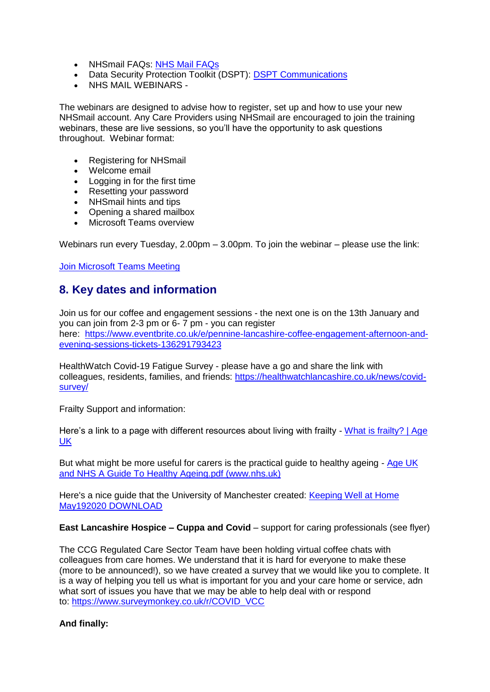- NHSmail FAQs: [NHS Mail FAQs](images/RegulatedCareSector/NHSmail_FAQs.docx)
- Data Security Protection Toolkit (DSPT): [DSPT Communications](images/RegulatedCareSector/20201023_DSPT_Comms.docx)
- NHS MAIL WEBINARS -

The webinars are designed to advise how to register, set up and how to use your new NHSmail account. Any Care Providers using NHSmail are encouraged to join the training webinars, these are live sessions, so you'll have the opportunity to ask questions throughout. Webinar format:

- Registering for NHSmail
- Welcome email
- Logging in for the first time
- Resetting your password
- NHSmail hints and tips
- Opening a shared mailbox
- **Microsoft Teams overview**

Webinars run every Tuesday, 2.00pm – 3.00pm. To join the webinar – please use the link:

[Join Microsoft Teams Meeting](https://teams.microsoft.com/l/meetup-join/19%3ameeting_ZGQ1MTkzMDAtZjU4OS00MDhhLWE1ZDgtNmUxNjIyNjcyYmZi%40thread.v2/0?context=%7b%22Tid%22%3a%2203159e92-72c6-4b23-a64a-af50e790adbf%22%2c%22Oid%22%3a%22cc4ef5b2-82a3-43ca-8a81-da50f393d1c8%22%7d)

### **8. Key dates and information**

Join us for our coffee and engagement sessions - the next one is on the 13th January and you can join from 2-3 pm or 6- 7 pm - you can register here: [https://www.eventbrite.co.uk/e/pennine-lancashire-coffee-engagement-afternoon-and](https://www.eventbrite.co.uk/e/pennine-lancashire-coffee-engagement-afternoon-and-evening-sessions-tickets-136291793423)[evening-sessions-tickets-136291793423](https://www.eventbrite.co.uk/e/pennine-lancashire-coffee-engagement-afternoon-and-evening-sessions-tickets-136291793423)

HealthWatch Covid-19 Fatigue Survey - please have a go and share the link with colleagues, residents, families, and friends: [https://healthwatchlancashire.co.uk/news/covid](https://healthwatchlancashire.co.uk/news/covid-survey)[survey](https://healthwatchlancashire.co.uk/news/covid-survey)[/](https://healthwatchlancashire.co.uk/news/covid-survey/)

Frailty Support and information:

Here's a link to a page with different resources about living with frailty - What is frailty? | Age [UK](https://www.ageuk.org.uk/our-impact/policy-research/frailty-in-older-people/understanding-frailty/)

But what might be more useful for carers is the practical guide to healthy ageing - Age UK [and NHS A Guide To Healthy Ageing.pdf \(www.nhs.uk\)](https://www.nhs.uk/Livewell/men60-plus/Documents/Age%20UK%20and%20NHS%20A%20Guide%20To%20Healthy%20Ageing.pdf)

Here's a nice guide that the University of Manchester created: [Keeping Well at Home](index.php?option=com_docman&view=document&alias=2725-keeping-well-at-home-may192020-download&category_slug=publications&Itemid=238)  [May192020 DOWNLOAD](index.php?option=com_docman&view=document&alias=2725-keeping-well-at-home-may192020-download&category_slug=publications&Itemid=238)

**East Lancashire Hospice – Cuppa and Covid** – support for caring professionals (see flyer)

The CCG Regulated Care Sector Team have been holding virtual coffee chats with colleagues from care homes. We understand that it is hard for everyone to make these (more to be announced!), so we have created a survey that we would like you to complete. It is a way of helping you tell us what is important for you and your care home or service, adn what sort of issues you have that we may be able to help deal with or respond to: [https://www.surveymonkey.co.uk/r/COVID\\_VCC](https://www.surveymonkey.co.uk/r/COVID_VCC)

#### **And finally:**